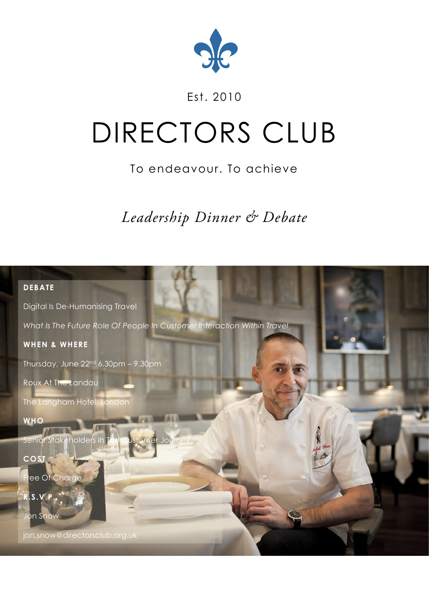

### Est. 2010

# DIRECTORS CLUB

## To endeavour. To achieve

*Leadership Dinner & Debate*

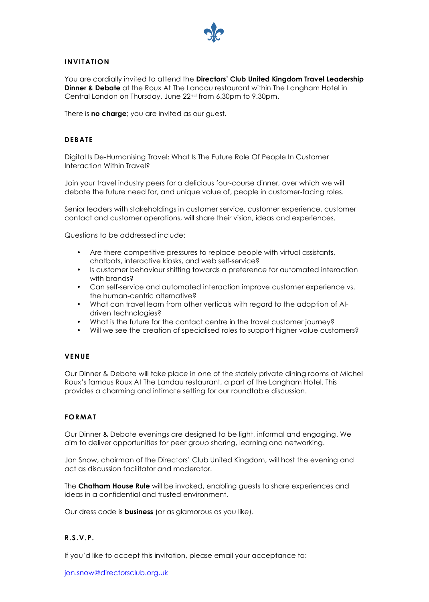

#### **INVITATION**

You are cordially invited to attend the **Directors' Club United Kingdom Travel Leadership Dinner & Debate** at the Roux At The Landau restaurant within The Langham Hotel in Central London on Thursday, June 22nd from 6.30pm to 9.30pm.

There is **no charge**; you are invited as our guest.

#### **DEBATE**

Digital Is De-Humanising Travel: What Is The Future Role Of People In Customer Interaction Within Travel?

Join your travel industry peers for a delicious four-course dinner, over which we will debate the future need for, and unique value of, people in customer-facing roles.

Senior leaders with stakeholdings in customer service, customer experience, customer contact and customer operations, will share their vision, ideas and experiences.

Questions to be addressed include:

- Are there competitive pressures to replace people with virtual assistants, chatbots, interactive kiosks, and web self-service?
- Is customer behaviour shifting towards a preference for automated interaction with brands?
- Can self-service and automated interaction improve customer experience vs. the human-centric alternative?
- What can travel learn from other verticals with regard to the adoption of AIdriven technologies?
- What is the future for the contact centre in the travel customer journey?
- Will we see the creation of specialised roles to support higher value customers?

#### **VENUE**

Our Dinner & Debate will take place in one of the stately private dining rooms at Michel Roux's famous Roux At The Landau restaurant, a part of the Langham Hotel. This provides a charming and intimate setting for our roundtable discussion.

#### **FORMAT**

Our Dinner & Debate evenings are designed to be light, informal and engaging. We aim to deliver opportunities for peer group sharing, learning and networking.

Jon Snow, chairman of the Directors' Club United Kingdom, will host the evening and act as discussion facilitator and moderator.

The **Chatham House Rule** will be invoked, enabling guests to share experiences and ideas in a confidential and trusted environment.

Our dress code is **business** (or as glamorous as you like).

#### **R.S.V.P.**

If you'd like to accept this invitation, please email your acceptance to: